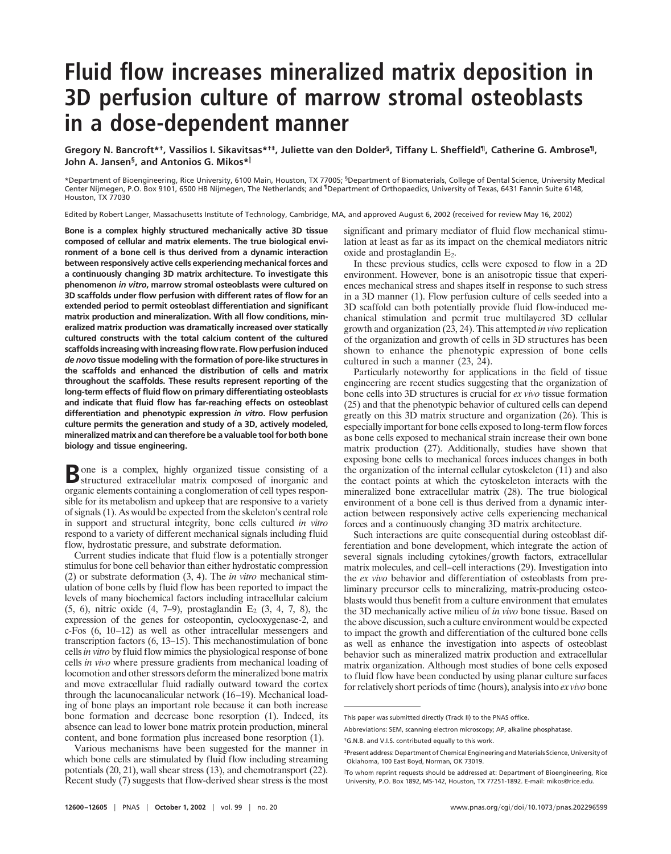## **Fluid flow increases mineralized matrix deposition in 3D perfusion culture of marrow stromal osteoblasts in a dose-dependent manner**

**Gregory N. Bancroft\*†, Vassilios I. Sikavitsas\*†‡, Juliette van den Dolder§, Tiffany L. Sheffield¶, Catherine G. Ambrose¶, John A. Jansen§, and Antonios G. Mikos\***

\*Department of Bioengineering, Rice University, 6100 Main, Houston, TX 77005; §Department of Biomaterials, College of Dental Science, University Medical Center Nijmegen, P.O. Box 9101, 6500 HB Nijmegen, The Netherlands; and ¶Department of Orthopaedics, University of Texas, 6431 Fannin Suite 6148, Houston, TX 77030

Edited by Robert Langer, Massachusetts Institute of Technology, Cambridge, MA, and approved August 6, 2002 (received for review May 16, 2002)

**Bone is a complex highly structured mechanically active 3D tissue composed of cellular and matrix elements. The true biological environment of a bone cell is thus derived from a dynamic interaction between responsively active cells experiencing mechanical forces and a continuously changing 3D matrix architecture. To investigate this phenomenon** *in vitro***, marrow stromal osteoblasts were cultured on 3D scaffolds under flow perfusion with different rates of flow for an extended period to permit osteoblast differentiation and significant matrix production and mineralization. With all flow conditions, mineralized matrix production was dramatically increased over statically cultured constructs with the total calcium content of the cultured scaffolds increasing with increasing flow rate. Flow perfusion induced** *de novo* **tissue modeling with the formation of pore-like structures in the scaffolds and enhanced the distribution of cells and matrix throughout the scaffolds. These results represent reporting of the long-term effects of fluid flow on primary differentiating osteoblasts and indicate that fluid flow has far-reaching effects on osteoblast differentiation and phenotypic expression** *in vitro***. Flow perfusion culture permits the generation and study of a 3D, actively modeled, mineralized matrix and can therefore be a valuable tool for both bone biology and tissue engineering.**

Bone is a complex, highly organized tissue consisting of a structured extracellular matrix composed of inorganic and organic elements containing a conglomeration of cell types responsible for its metabolism and upkeep that are responsive to a variety of signals (1). As would be expected from the skeleton's central role in support and structural integrity, bone cells cultured *in vitro* respond to a variety of different mechanical signals including fluid flow, hydrostatic pressure, and substrate deformation.

Current studies indicate that fluid flow is a potentially stronger stimulus for bone cell behavior than either hydrostatic compression (2) or substrate deformation (3, 4). The *in vitro* mechanical stimulation of bone cells by fluid flow has been reported to impact the levels of many biochemical factors including intracellular calcium  $(5, 6)$ , nitric oxide  $(4, 7-9)$ , prostaglandin  $E_2$   $(3, 4, 7, 8)$ , the expression of the genes for osteopontin, cyclooxygenase-2, and c-Fos (6, 10–12) as well as other intracellular messengers and transcription factors (6, 13–15). This mechanostimulation of bone cells *in vitro* by fluid flow mimics the physiological response of bone cells *in vivo* where pressure gradients from mechanical loading of locomotion and other stressors deform the mineralized bone matrix and move extracellular fluid radially outward toward the cortex through the lacunocanalicular network (16–19). Mechanical loading of bone plays an important role because it can both increase bone formation and decrease bone resorption (1). Indeed, its absence can lead to lower bone matrix protein production, mineral content, and bone formation plus increased bone resorption (1).

Various mechanisms have been suggested for the manner in which bone cells are stimulated by fluid flow including streaming potentials (20, 21), wall shear stress (13), and chemotransport (22). Recent study (7) suggests that flow-derived shear stress is the most significant and primary mediator of fluid flow mechanical stimulation at least as far as its impact on the chemical mediators nitric oxide and prostaglandin  $E<sub>2</sub>$ .

In these previous studies, cells were exposed to flow in a 2D environment. However, bone is an anisotropic tissue that experiences mechanical stress and shapes itself in response to such stress in a 3D manner (1). Flow perfusion culture of cells seeded into a 3D scaffold can both potentially provide fluid flow-induced mechanical stimulation and permit true multilayered 3D cellular growth and organization (23, 24). This attempted *in vivo* replication of the organization and growth of cells in 3D structures has been shown to enhance the phenotypic expression of bone cells cultured in such a manner (23, 24).

Particularly noteworthy for applications in the field of tissue engineering are recent studies suggesting that the organization of bone cells into 3D structures is crucial for *ex vivo* tissue formation (25) and that the phenotypic behavior of cultured cells can depend greatly on this 3D matrix structure and organization (26). This is especially important for bone cells exposed to long-term flow forces as bone cells exposed to mechanical strain increase their own bone matrix production (27). Additionally, studies have shown that exposing bone cells to mechanical forces induces changes in both the organization of the internal cellular cytoskeleton (11) and also the contact points at which the cytoskeleton interacts with the mineralized bone extracellular matrix (28). The true biological environment of a bone cell is thus derived from a dynamic interaction between responsively active cells experiencing mechanical forces and a continuously changing 3D matrix architecture.

Such interactions are quite consequential during osteoblast differentiation and bone development, which integrate the action of several signals including cytokines/growth factors, extracellular matrix molecules, and cell–cell interactions (29). Investigation into the *ex vivo* behavior and differentiation of osteoblasts from preliminary precursor cells to mineralizing, matrix-producing osteoblasts would thus benefit from a culture environment that emulates the 3D mechanically active milieu of *in vivo* bone tissue. Based on the above discussion, such a culture environment would be expected to impact the growth and differentiation of the cultured bone cells as well as enhance the investigation into aspects of osteoblast behavior such as mineralized matrix production and extracellular matrix organization. Although most studies of bone cells exposed to fluid flow have been conducted by using planar culture surfaces for relatively short periods of time (hours), analysis into *ex vivo* bone

This paper was submitted directly (Track II) to the PNAS office.

Abbreviations: SEM, scanning electron microscopy; AP, alkaline phosphatase.

<sup>†</sup>G.N.B. and V.I.S. contributed equally to this work.

<sup>‡</sup>Present address: Department of Chemical Engineering and Materials Science, University of Oklahoma, 100 East Boyd, Norman, OK 73019.

To whom reprint requests should be addressed at: Department of Bioengineering, Rice University, P.O. Box 1892, MS-142, Houston, TX 77251-1892. E-mail: mikos@rice.edu.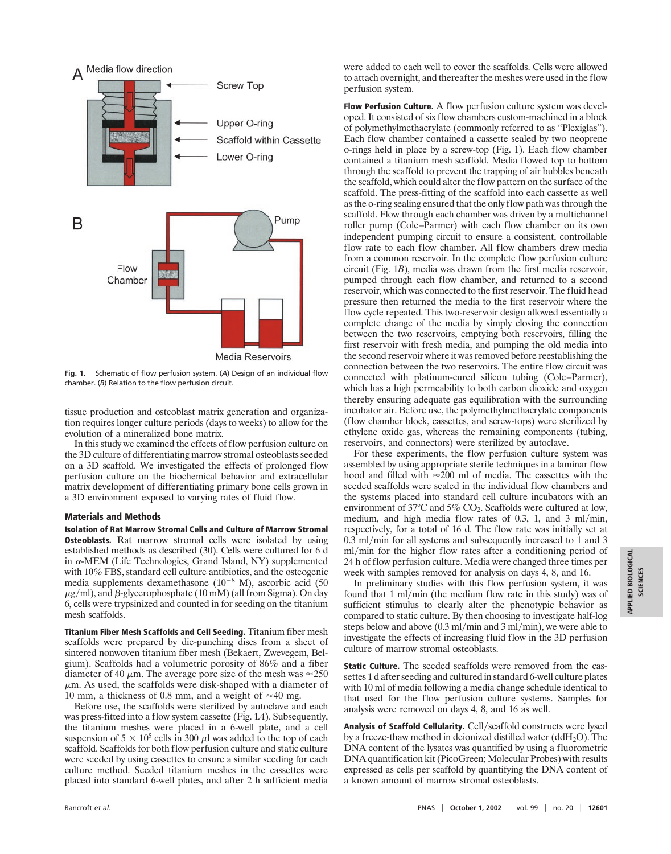

**Fig. 1.** Schematic of flow perfusion system. (*A*) Design of an individual flow chamber. (*B*) Relation to the flow perfusion circuit.

tissue production and osteoblast matrix generation and organization requires longer culture periods (days to weeks) to allow for the evolution of a mineralized bone matrix.

In this study we examined the effects of flow perfusion culture on the 3D culture of differentiating marrow stromal osteoblasts seeded on a 3D scaffold. We investigated the effects of prolonged flow perfusion culture on the biochemical behavior and extracellular matrix development of differentiating primary bone cells grown in a 3D environment exposed to varying rates of fluid flow.

## **Materials and Methods**

**Isolation of Rat Marrow Stromal Cells and Culture of Marrow Stromal Osteoblasts.** Rat marrow stromal cells were isolated by using established methods as described (30). Cells were cultured for 6 d in  $\alpha$ -MEM (Life Technologies, Grand Island, NY) supplemented with 10% FBS, standard cell culture antibiotics, and the osteogenic media supplements dexamethasone  $(10^{-8}$  M), ascorbic acid (50  $\mu$ g/ml), and β-glycerophosphate (10 mM) (all from Sigma). On day 6, cells were trypsinized and counted in for seeding on the titanium mesh scaffolds.

**Titanium Fiber Mesh Scaffolds and Cell Seeding.** Titanium fiber mesh scaffolds were prepared by die-punching discs from a sheet of sintered nonwoven titanium fiber mesh (Bekaert, Zwevegem, Belgium). Scaffolds had a volumetric porosity of 86% and a fiber diameter of 40  $\mu$ m. The average pore size of the mesh was  $\approx$ 250  $\mu$ m. As used, the scaffolds were disk-shaped with a diameter of 10 mm, a thickness of 0.8 mm, and a weight of  $\approx$  40 mg.

Before use, the scaffolds were sterilized by autoclave and each was press-fitted into a flow system cassette (Fig. 1*A*). Subsequently, the titanium meshes were placed in a 6-well plate, and a cell suspension of  $5 \times 10^5$  cells in 300  $\mu$ l was added to the top of each scaffold. Scaffolds for both flow perfusion culture and static culture were seeded by using cassettes to ensure a similar seeding for each culture method. Seeded titanium meshes in the cassettes were placed into standard 6-well plates, and after 2 h sufficient media were added to each well to cover the scaffolds. Cells were allowed to attach overnight, and thereafter the meshes were used in the flow perfusion system.

**Flow Perfusion Culture.** A flow perfusion culture system was developed. It consisted of six flow chambers custom-machined in a block of polymethylmethacrylate (commonly referred to as ''Plexiglas''). Each flow chamber contained a cassette sealed by two neoprene o-rings held in place by a screw-top (Fig. 1). Each flow chamber contained a titanium mesh scaffold. Media flowed top to bottom through the scaffold to prevent the trapping of air bubbles beneath the scaffold, which could alter the flow pattern on the surface of the scaffold. The press-fitting of the scaffold into each cassette as well as the o-ring sealing ensured that the only flow path was through the scaffold. Flow through each chamber was driven by a multichannel roller pump (Cole–Parmer) with each flow chamber on its own independent pumping circuit to ensure a consistent, controllable flow rate to each flow chamber. All flow chambers drew media from a common reservoir. In the complete flow perfusion culture circuit (Fig. 1*B*), media was drawn from the first media reservoir, pumped through each flow chamber, and returned to a second reservoir, which was connected to the first reservoir. The fluid head pressure then returned the media to the first reservoir where the flow cycle repeated. This two-reservoir design allowed essentially a complete change of the media by simply closing the connection between the two reservoirs, emptying both reservoirs, filling the first reservoir with fresh media, and pumping the old media into the second reservoir where it was removed before reestablishing the connection between the two reservoirs. The entire flow circuit was connected with platinum-cured silicon tubing (Cole–Parmer), which has a high permeability to both carbon dioxide and oxygen thereby ensuring adequate gas equilibration with the surrounding incubator air. Before use, the polymethylmethacrylate components (flow chamber block, cassettes, and screw-tops) were sterilized by ethylene oxide gas, whereas the remaining components (tubing, reservoirs, and connectors) were sterilized by autoclave.

For these experiments, the flow perfusion culture system was assembled by using appropriate sterile techniques in a laminar flow hood and filled with  $\approx 200$  ml of media. The cassettes with the seeded scaffolds were sealed in the individual flow chambers and the systems placed into standard cell culture incubators with an environment of 37°C and 5% CO<sub>2</sub>. Scaffolds were cultured at low, medium, and high media flow rates of  $0.3$ , 1, and  $3 \text{ ml/min}$ , respectively, for a total of 16 d. The flow rate was initially set at 0.3 ml/min for all systems and subsequently increased to 1 and 3 ml/min for the higher flow rates after a conditioning period of 24 h of flow perfusion culture. Media were changed three times per week with samples removed for analysis on days 4, 8, and 16.

In preliminary studies with this flow perfusion system, it was found that 1 ml/min (the medium flow rate in this study) was of sufficient stimulus to clearly alter the phenotypic behavior as compared to static culture. By then choosing to investigate half-log steps below and above  $(0.3 \text{ ml/min} \text{ and } 3 \text{ ml/min})$ , we were able to investigate the effects of increasing fluid flow in the 3D perfusion culture of marrow stromal osteoblasts.

**Static Culture.** The seeded scaffolds were removed from the cassettes 1 d after seeding and cultured in standard 6-well culture plates with 10 ml of media following a media change schedule identical to that used for the flow perfusion culture systems. Samples for analysis were removed on days 4, 8, and 16 as well.

Analysis of Scaffold Cellularity. Cell/scaffold constructs were lysed by a freeze-thaw method in deionized distilled water (ddH2O). The DNA content of the lysates was quantified by using a fluorometric DNA quantification kit (PicoGreen; Molecular Probes) with results expressed as cells per scaffold by quantifying the DNA content of a known amount of marrow stromal osteoblasts.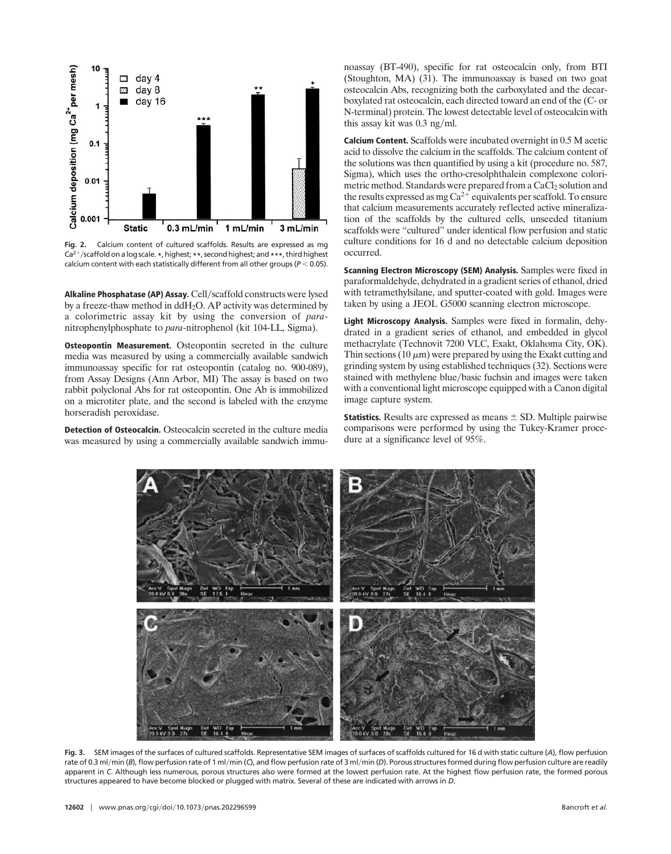

**Fig. 2.** Calcium content of cultured scaffolds. Results are expressed as mg Ca2-scaffold on a log scale. **\***, highest; **\*\***, second highest; and**\*\*\***, third highest calcium content with each statistically different from all other groups ( $P < 0.05$ ).

Alkaline Phosphatase (AP) Assay. Cell/scaffold constructs were lysed by a freeze-thaw method in ddH2O. AP activity was determined by a colorimetric assay kit by using the conversion of *para*nitrophenylphosphate to *para*-nitrophenol (kit 104-LL, Sigma).

**Osteopontin Measurement.** Osteopontin secreted in the culture media was measured by using a commercially available sandwich immunoassay specific for rat osteopontin (catalog no. 900-089), from Assay Designs (Ann Arbor, MI) The assay is based on two rabbit polyclonal Abs for rat osteopontin. One Ab is immobilized on a microtiter plate, and the second is labeled with the enzyme horseradish peroxidase.

**Detection of Osteocalcin.** Osteocalcin secreted in the culture media was measured by using a commercially available sandwich immu-

noassay (BT-490), specific for rat osteocalcin only, from BTI (Stoughton, MA) (31). The immunoassay is based on two goat osteocalcin Abs, recognizing both the carboxylated and the decarboxylated rat osteocalcin, each directed toward an end of the (C- or N-terminal) protein. The lowest detectable level of osteocalcin with this assay kit was  $0.3$  ng/ml.

**Calcium Content.** Scaffolds were incubated overnight in 0.5 M acetic acid to dissolve the calcium in the scaffolds. The calcium content of the solutions was then quantified by using a kit (procedure no. 587, Sigma), which uses the ortho-cresolphthalein complexone colorimetric method. Standards were prepared from a CaCl<sub>2</sub> solution and the results expressed as mg  $Ca^{2+}$  equivalents per scaffold. To ensure that calcium measurements accurately reflected active mineralization of the scaffolds by the cultured cells, unseeded titanium scaffolds were ''cultured'' under identical flow perfusion and static culture conditions for 16 d and no detectable calcium deposition occurred.

**Scanning Electron Microscopy (SEM) Analysis.** Samples were fixed in paraformaldehyde, dehydrated in a gradient series of ethanol, dried with tetramethylsilane, and sputter-coated with gold. Images were taken by using a JEOL G5000 scanning electron microscope.

**Light Microscopy Analysis.** Samples were fixed in formalin, dehydrated in a gradient series of ethanol, and embedded in glycol methacrylate (Technovit 7200 VLC, Exakt, Oklahoma City, OK). Thin sections (10  $\mu$ m) were prepared by using the Exakt cutting and grinding system by using established techniques (32). Sections were stained with methylene blue/basic fuchsin and images were taken with a conventional light microscope equipped with a Canon digital image capture system.

**Statistics.** Results are expressed as means  $\pm$  SD. Multiple pairwise comparisons were performed by using the Tukey-Kramer procedure at a significance level of 95%.



**Fig. 3.** SEM images of the surfaces of cultured scaffolds. Representative SEM images of surfaces of scaffolds cultured for 16 d with static culture (*A*), flow perfusion rate of 0.3 ml/min (B), flow perfusion rate of 1 ml/min (C), and flow perfusion rate of 3 ml/min (D). Porous structures formed during flow perfusion culture are readily apparent in *C*. Although less numerous, porous structures also were formed at the lowest perfusion rate. At the highest flow perfusion rate, the formed porous structures appeared to have become blocked or plugged with matrix. Several of these are indicated with arrows in *D*.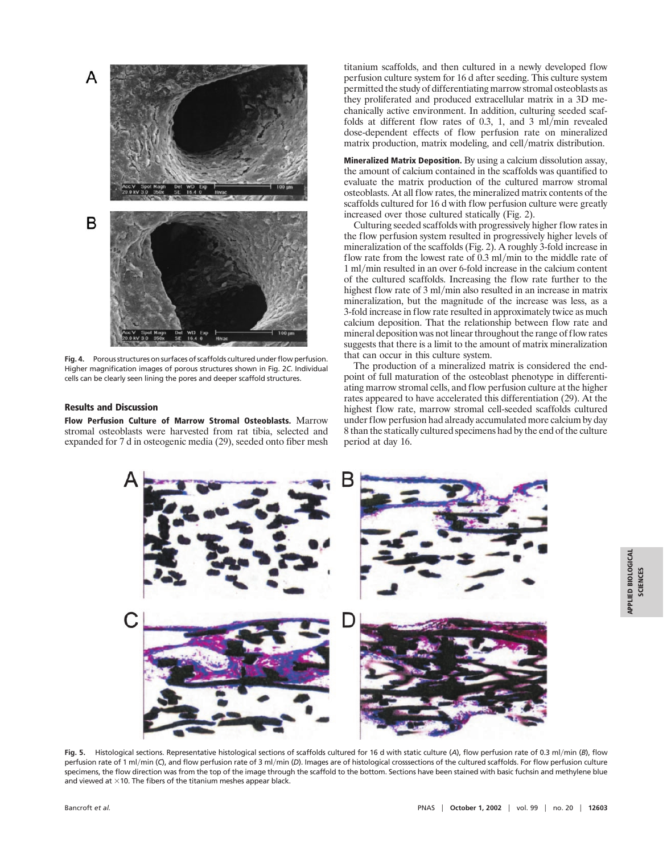

Fig. 4. Porous structures on surfaces of scaffolds cultured under flow perfusion. Higher magnification images of porous structures shown in Fig. 2*C*. Individual cells can be clearly seen lining the pores and deeper scaffold structures.

## **Results and Discussion**

**Flow Perfusion Culture of Marrow Stromal Osteoblasts.** Marrow stromal osteoblasts were harvested from rat tibia, selected and expanded for 7 d in osteogenic media (29), seeded onto fiber mesh

titanium scaffolds, and then cultured in a newly developed flow perfusion culture system for 16 d after seeding. This culture system permitted the study of differentiating marrow stromal osteoblasts as they proliferated and produced extracellular matrix in a 3D mechanically active environment. In addition, culturing seeded scaffolds at different flow rates of  $0.3$ , 1, and 3 ml/min revealed dose-dependent effects of flow perfusion rate on mineralized matrix production, matrix modeling, and cell/matrix distribution.

**Mineralized Matrix Deposition.** By using a calcium dissolution assay, the amount of calcium contained in the scaffolds was quantified to evaluate the matrix production of the cultured marrow stromal osteoblasts. At all flow rates, the mineralized matrix contents of the scaffolds cultured for 16 d with flow perfusion culture were greatly increased over those cultured statically (Fig. 2).

Culturing seeded scaffolds with progressively higher flow rates in the flow perfusion system resulted in progressively higher levels of mineralization of the scaffolds (Fig. 2). A roughly 3-fold increase in flow rate from the lowest rate of  $0.3 \text{ ml/min}$  to the middle rate of 1 ml/min resulted in an over 6-fold increase in the calcium content of the cultured scaffolds. Increasing the flow rate further to the highest flow rate of 3 ml/min also resulted in an increase in matrix mineralization, but the magnitude of the increase was less, as a 3-fold increase in flow rate resulted in approximately twice as much calcium deposition. That the relationship between flow rate and mineral deposition was not linear throughout the range of flow rates suggests that there is a limit to the amount of matrix mineralization that can occur in this culture system.

The production of a mineralized matrix is considered the endpoint of full maturation of the osteoblast phenotype in differentiating marrow stromal cells, and flow perfusion culture at the higher rates appeared to have accelerated this differentiation (29). At the highest flow rate, marrow stromal cell-seeded scaffolds cultured under flow perfusion had already accumulated more calcium by day 8 than the statically cultured specimens had by the end of the culture period at day 16.



Fig. 5. Histological sections. Representative histological sections of scaffolds cultured for 16 d with static culture (A), flow perfusion rate of 0.3 ml/min (B), flow perfusion rate of 1 ml/min (C), and flow perfusion rate of 3 ml/min (D). Images are of histological crosssections of the cultured scaffolds. For flow perfusion culture specimens, the flow direction was from the top of the image through the scaffold to the bottom. Sections have been stained with basic fuchsin and methylene blue and viewed at  $\times$  10. The fibers of the titanium meshes appear black.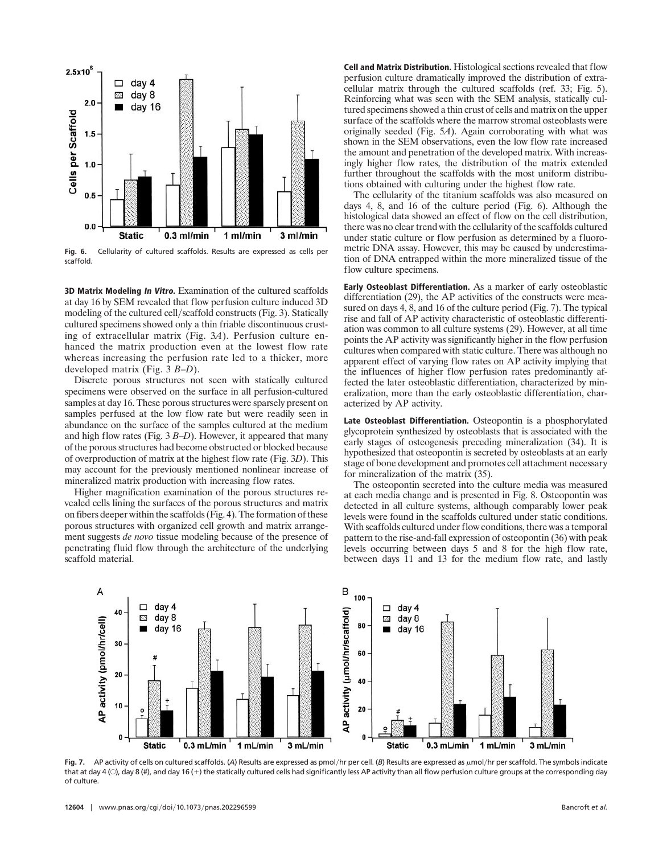

**Fig. 6.** Cellularity of cultured scaffolds. Results are expressed as cells per scaffold.

**3D Matrix Modeling In Vitro.** Examination of the cultured scaffolds at day 16 by SEM revealed that flow perfusion culture induced 3D modeling of the cultured cell/scaffold constructs (Fig. 3). Statically cultured specimens showed only a thin friable discontinuous crusting of extracellular matrix (Fig. 3*A*). Perfusion culture enhanced the matrix production even at the lowest flow rate whereas increasing the perfusion rate led to a thicker, more developed matrix (Fig. 3 *B*–*D*).

Discrete porous structures not seen with statically cultured specimens were observed on the surface in all perfusion-cultured samples at day 16. These porous structures were sparsely present on samples perfused at the low flow rate but were readily seen in abundance on the surface of the samples cultured at the medium and high flow rates (Fig. 3 *B*–*D*). However, it appeared that many of the porous structures had become obstructed or blocked because of overproduction of matrix at the highest flow rate (Fig. 3*D*). This may account for the previously mentioned nonlinear increase of mineralized matrix production with increasing flow rates.

Higher magnification examination of the porous structures revealed cells lining the surfaces of the porous structures and matrix on fibers deeper within the scaffolds (Fig. 4). The formation of these porous structures with organized cell growth and matrix arrangement suggests *de novo* tissue modeling because of the presence of penetrating fluid flow through the architecture of the underlying scaffold material.

**Cell and Matrix Distribution.** Histological sections revealed that flow perfusion culture dramatically improved the distribution of extracellular matrix through the cultured scaffolds (ref. 33; Fig. 5). Reinforcing what was seen with the SEM analysis, statically cultured specimens showed a thin crust of cells and matrix on the upper surface of the scaffolds where the marrow stromal osteoblasts were originally seeded (Fig. 5*A*). Again corroborating with what was shown in the SEM observations, even the low flow rate increased the amount and penetration of the developed matrix. With increasingly higher flow rates, the distribution of the matrix extended further throughout the scaffolds with the most uniform distributions obtained with culturing under the highest flow rate.

The cellularity of the titanium scaffolds was also measured on days 4, 8, and 16 of the culture period (Fig. 6). Although the histological data showed an effect of flow on the cell distribution, there was no clear trend with the cellularity of the scaffolds cultured under static culture or flow perfusion as determined by a fluorometric DNA assay. However, this may be caused by underestimation of DNA entrapped within the more mineralized tissue of the flow culture specimens.

**Early Osteoblast Differentiation.** As a marker of early osteoblastic differentiation (29), the AP activities of the constructs were measured on days 4, 8, and 16 of the culture period (Fig. 7). The typical rise and fall of AP activity characteristic of osteoblastic differentiation was common to all culture systems (29). However, at all time points the AP activity was significantly higher in the flow perfusion cultures when compared with static culture. There was although no apparent effect of varying flow rates on AP activity implying that the influences of higher flow perfusion rates predominantly affected the later osteoblastic differentiation, characterized by mineralization, more than the early osteoblastic differentiation, characterized by AP activity.

**Late Osteoblast Differentiation.** Osteopontin is a phosphorylated glycoprotein synthesized by osteoblasts that is associated with the early stages of osteogenesis preceding mineralization (34). It is hypothesized that osteopontin is secreted by osteoblasts at an early stage of bone development and promotes cell attachment necessary for mineralization of the matrix (35).

The osteopontin secreted into the culture media was measured at each media change and is presented in Fig. 8. Osteopontin was detected in all culture systems, although comparably lower peak levels were found in the scaffolds cultured under static conditions. With scaffolds cultured under flow conditions, there was a temporal pattern to the rise-and-fall expression of osteopontin (36) with peak levels occurring between days 5 and 8 for the high flow rate, between days 11 and 13 for the medium flow rate, and lastly



Fig. 7. AP activity of cells on cultured scaffolds. (A) Results are expressed as pmol/hr per cell. (B) Results are expressed as µmol/hr per scaffold. The symbols indicate that at day 4 ( $\circ$ ), day 8 (#), and day 16 (+) the statically cultured cells had significantly less AP activity than all flow perfusion culture groups at the corresponding day of culture.